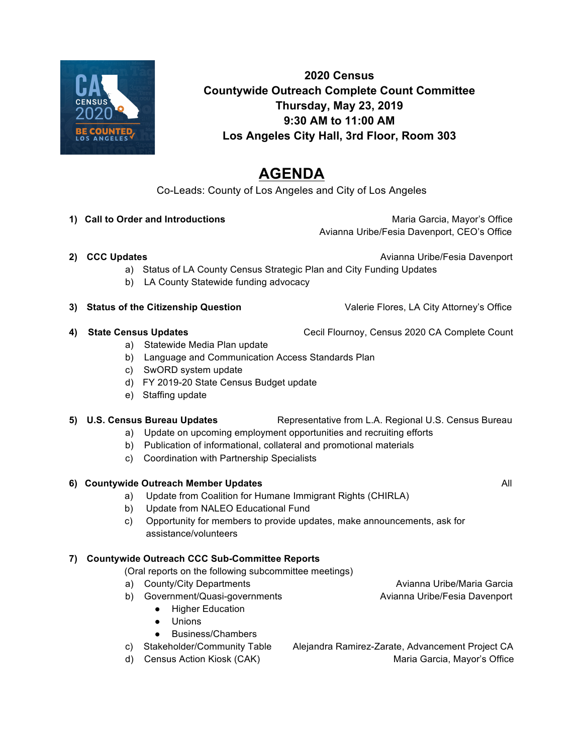

# **2020 Census Countywide Outreach Complete Count Committee Thursday, May 23, 2019 9:30 AM to 11:00 AM Los Angeles City Hall, 3rd Floor, Room 303**

# **AGENDA**

Co-Leads: County of Los Angeles and City of Los Angeles

1) **Call to Order and Introductions Maria Garcia, Mayor's Office Maria Garcia, Mayor's Office** Avianna Uribe/Fesia Davenport, CEO's Office

**2) CCC Updates** Avianna Uribe/Fesia Davenport

- a) Status of LA County Census Strategic Plan and City Funding Updates
- b) LA County Statewide funding advocacy

### **3) Status of the Citizenship Question <b>Valerie Flores**, LA City Attorney's Office

- a) Statewide Media Plan update
- b) Language and Communication Access Standards Plan
- c) SwORD system update
- d) FY 2019-20 State Census Budget update
- e) Staffing update

## **5) U.S. Census Bureau Updates** Representative from L.A. Regional U.S. Census Bureau

- a) Update on upcoming employment opportunities and recruiting efforts
- b) Publication of informational, collateral and promotional materials
- c) Coordination with Partnership Specialists

## **6) Countywide Outreach Member Updates <b>All All All All All All All**

- a) Update from Coalition for Humane Immigrant Rights (CHIRLA)
- b) Update from NALEO Educational Fund
- c) Opportunity for members to provide updates, make announcements, ask for assistance/volunteers

## **7) Countywide Outreach CCC Sub-Committee Reports**

(Oral reports on the following subcommittee meetings)

- a) County/City Departments **Avianna Uribe/Maria Garcia**
- b) Government/Quasi-governments Avianna Uribe/Fesia Davenport
	- Higher Education
	- Unions
	- Business/Chambers
- 
- 
- c) Stakeholder/Community Table Alejandra Ramirez-Zarate, Advancement Project CA d) Census Action Kiosk (CAK) Maria Garcia, Mayor's Office
- 
- **4) State Census Updates <b>CALC CEC** Cecil Flournoy, Census 2020 CA Complete Count